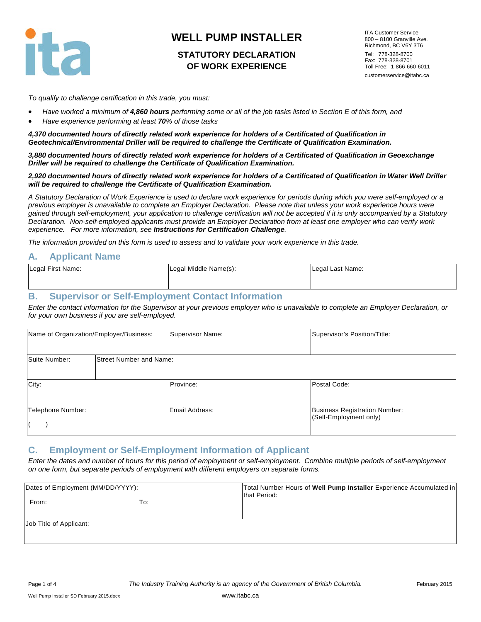

## **STATUTORY DECLARATION OF WORK EXPERIENCE**

ITA Customer Service 800 – 8100 Granville Ave. Richmond, BC V6Y 3T6 Tel: 778-328-8700 Fax: 778-328-8701 Toll Free: 1-866-660-6011 customerservice@itabc.ca

*To qualify to challenge certification in this trade, you must:*

- *Have worked a minimum of 4,860 hours performing some or all of the job tasks listed in Section E of this form, and*
- *Have experience performing at least 70% of those tasks*

*4,370 documented hours of directly related work experience for holders of a Certificated of Qualification in Geotechnical/Environmental Driller will be required to challenge the Certificate of Qualification Examination.*

*3,880 documented hours of directly related work experience for holders of a Certificated of Qualification in Geoexchange Driller will be required to challenge the Certificate of Qualification Examination.*

#### *2,920 documented hours of directly related work experience for holders of a Certificated of Qualification in Water Well Driller will be required to challenge the Certificate of Qualification Examination.*

*A Statutory Declaration of Work Experience is used to declare work experience for periods during which you were self-employed or a previous employer is unavailable to complete an Employer Declaration. Please note that unless your work experience hours were gained through self-employment, your application to challenge certification will not be accepted if it is only accompanied by a Statutory Declaration. Non-self-employed applicants must provide an Employer Declaration from at least one employer who can verify work experience. For more information, see Instructions for Certification Challenge.*

*The information provided on this form is used to assess and to validate your work experience in this trade.* 

#### **A. Applicant Name**

| Legal First Name: | Legal Middle Name(s): | Legal Last Name: |
|-------------------|-----------------------|------------------|
|                   |                       |                  |

#### **B. Supervisor or Self-Employment Contact Information**

*Enter the contact information for the Supervisor at your previous employer who is unavailable to complete an Employer Declaration, or for your own business if you are self-employed.*

|                   | Name of Organization/Employer/Business: | Supervisor Name: | Supervisor's Position/Title:                                   |
|-------------------|-----------------------------------------|------------------|----------------------------------------------------------------|
| Suite Number:     | Street Number and Name:                 |                  |                                                                |
| City:             |                                         | Province:        | Postal Code:                                                   |
| Telephone Number: |                                         | Email Address:   | <b>Business Registration Number:</b><br>(Self-Employment only) |

#### **C. Employment or Self-Employment Information of Applicant**

*Enter the dates and number of hours for this period of employment or self-employment. Combine multiple periods of self-employment on one form, but separate periods of employment with different employers on separate forms.*

| Dates of Employment (MM/DD/YYYY): |     | Total Number Hours of Well Pump Installer Experience Accumulated in<br>that Period: |
|-----------------------------------|-----|-------------------------------------------------------------------------------------|
| From:                             | To: |                                                                                     |
| Job Title of Applicant:           |     |                                                                                     |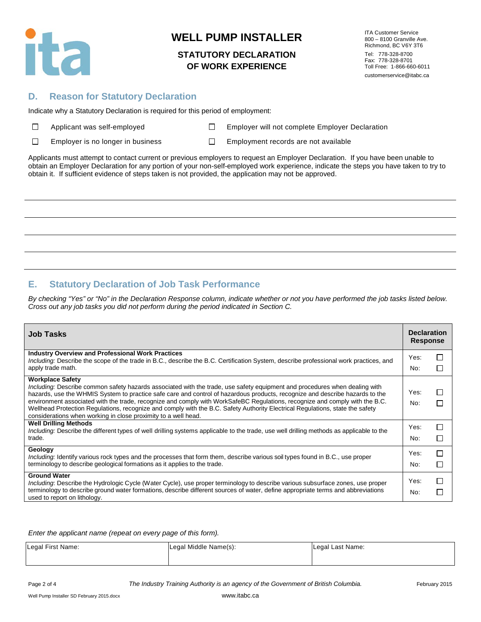

### **STATUTORY DECLARATION OF WORK EXPERIENCE**

ITA Customer Service 800 – 8100 Granville Ave. Richmond, BC V6Y 3T6 Tel: 778-328-8700 Fax: 778-328-8701 Toll Free: 1-866-660-6011 customerservice@itabc.ca

### **D. Reason for Statutory Declaration**

Indicate why a Statutory Declaration is required for this period of employment:

|  | $\Box$ | Applicant was self-employe |  |
|--|--------|----------------------------|--|
|--|--------|----------------------------|--|

Applicant Mapple Employer will not complete Employer Declaration

 $\Box$ Employer is no longer in business  $\Box$  Employment records are not available

Applicants must attempt to contact current or previous employers to request an Employer Declaration. If you have been unable to obtain an Employer Declaration for any portion of your non-self-employed work experience, indicate the steps you have taken to try to obtain it. If sufficient evidence of steps taken is not provided, the application may not be approved.

## **E. Statutory Declaration of Job Task Performance**

*By checking "Yes" or "No" in the Declaration Response column, indicate whether or not you have performed the job tasks listed below. Cross out any job tasks you did not perform during the period indicated in Section C.*

| <b>Job Tasks</b>                                                                                                                                                                                                                                                                                                                                                                                                                                                                                                                                                                                                        | <b>Declaration</b><br><b>Response</b> |        |
|-------------------------------------------------------------------------------------------------------------------------------------------------------------------------------------------------------------------------------------------------------------------------------------------------------------------------------------------------------------------------------------------------------------------------------------------------------------------------------------------------------------------------------------------------------------------------------------------------------------------------|---------------------------------------|--------|
| <b>Industry Overview and Professional Work Practices</b><br>Including: Describe the scope of the trade in B.C., describe the B.C. Certification System, describe professional work practices, and<br>apply trade math.                                                                                                                                                                                                                                                                                                                                                                                                  | Yes:<br>No:                           | П<br>П |
| <b>Workplace Safety</b><br>Including: Describe common safety hazards associated with the trade, use safety equipment and procedures when dealing with<br>hazards, use the WHMIS System to practice safe care and control of hazardous products, recognize and describe hazards to the<br>environment associated with the trade, recognize and comply with WorkSafeBC Regulations, recognize and comply with the B.C.<br>Wellhead Protection Regulations, recognize and comply with the B.C. Safety Authority Electrical Regulations, state the safety<br>considerations when working in close proximity to a well head. | Yes:<br>No:                           | П<br>П |
| <b>Well Drilling Methods</b><br>Including: Describe the different types of well drilling systems applicable to the trade, use well drilling methods as applicable to the<br>trade.                                                                                                                                                                                                                                                                                                                                                                                                                                      | Yes:<br>No:                           | □<br>П |
| Geology<br>Including: Identify various rock types and the processes that form them, describe various soil types found in B.C., use proper<br>terminology to describe geological formations as it applies to the trade.                                                                                                                                                                                                                                                                                                                                                                                                  | Yes:<br>No:                           | □<br>П |
| <b>Ground Water</b><br>Including: Describe the Hydrologic Cycle (Water Cycle), use proper terminology to describe various subsurface zones, use proper<br>terminology to describe ground water formations, describe different sources of water, define appropriate terms and abbreviations<br>used to report on lithology.                                                                                                                                                                                                                                                                                              | Yes:<br>No:                           | П<br>Π |

*Enter the applicant name (repeat on every page of this form).*

| Legal First Name: | Legal Middle Name(s): | Legal Last Name: |
|-------------------|-----------------------|------------------|
|                   |                       |                  |

Page 2 of 4 *The Industry Training Authority is an agency of the Government of British Columbia.* February 2015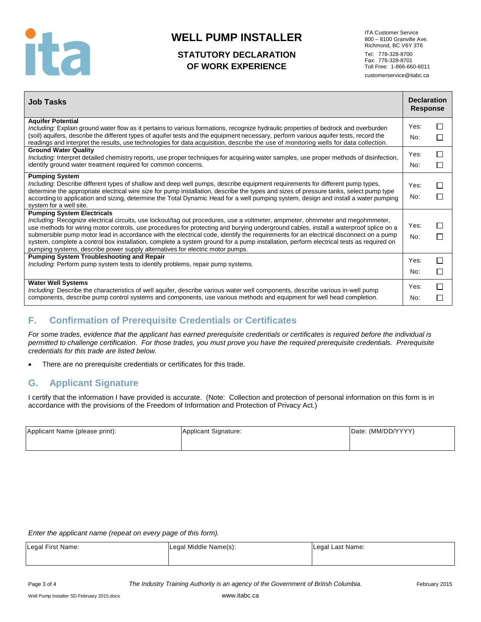

## **STATUTORY DECLARATION OF WORK EXPERIENCE**

ITA Customer Service 800 – 8100 Granville Ave. Richmond, BC V6Y 3T6 Tel: 778-328-8700 Fax: 778-328-8701 Toll Free: 1-866-660-6011 customerservice@itabc.ca

| <b>Job Tasks</b>                                                                                                                                                                                                                                                                                                                                                                                                                                                                                                                                                                                                                                                                | <b>Declaration</b><br><b>Response</b> |                   |
|---------------------------------------------------------------------------------------------------------------------------------------------------------------------------------------------------------------------------------------------------------------------------------------------------------------------------------------------------------------------------------------------------------------------------------------------------------------------------------------------------------------------------------------------------------------------------------------------------------------------------------------------------------------------------------|---------------------------------------|-------------------|
| <b>Aquifer Potential</b><br>Including: Explain ground water flow as it pertains to various formations, recognize hydraulic properties of bedrock and overburden<br>(soil) aquifers, describe the different types of aquifer tests and the equipment necessary, perform various aquifer tests, record the<br>readings and interpret the results, use technologies for data acquisition, describe the use of monitoring wells for data collection.                                                                                                                                                                                                                                | Yes:<br>No:                           | $\blacksquare$    |
| <b>Ground Water Quality</b><br>Including: Interpret detailed chemistry reports, use proper techniques for acquiring water samples, use proper methods of disinfection,<br>identify ground water treatment required for common concerns.                                                                                                                                                                                                                                                                                                                                                                                                                                         | Yes:<br>No:                           | H                 |
| <b>Pumping System</b><br>Including: Describe different types of shallow and deep well pumps, describe equipment requirements for different pump types,<br>determine the appropriate electrical wire size for pump installation, describe the types and sizes of pressure tanks, select pump type<br>according to application and sizing, determine the Total Dynamic Head for a well pumping system, design and install a water pumping<br>system for a well site.                                                                                                                                                                                                              | Yes:<br>No:                           |                   |
| <b>Pumping System Electricals</b><br>Including: Recognize electrical circuits, use lockout/tag out procedures, use a voltmeter, ampmeter, ohmmeter and megohmmeter,<br>use methods for wiring motor controls, use procedures for protecting and burying underground cables, install a waterproof splice on a<br>submersible pump motor lead in accordance with the electrical code, identify the requirements for an electrical disconnect on a pump<br>system, complete a control box installation, complete a system ground for a pump installation, perform electrical tests as required on<br>pumping systems, describe power supply alternatives for electric motor pumps. | Yes:<br>No:                           |                   |
| <b>Pumping System Troubleshooting and Repair</b><br><i>Including:</i> Perform pump system tests to identify problems, repair pump systems.                                                                                                                                                                                                                                                                                                                                                                                                                                                                                                                                      | Yes:<br>No:                           | П<br>$\mathsf{L}$ |
| <b>Water Well Systems</b><br>Including: Describe the characteristics of well aquifer, describe various water well components, describe various in-well pump<br>components, describe pump control systems and components, use various methods and equipment for well head completion.                                                                                                                                                                                                                                                                                                                                                                                            | Yes:<br>No:                           | П                 |

## **F. Confirmation of Prerequisite Credentials or Certificates**

*For some trades, evidence that the applicant has earned prerequisite credentials or certificates is required before the individual is permitted to challenge certification. For those trades, you must prove you have the required prerequisite credentials. Prerequisite credentials for this trade are listed below.*

There are no prerequisite credentials or certificates for this trade.

### **G. Applicant Signature**

I certify that the information I have provided is accurate. (Note: Collection and protection of personal information on this form is in accordance with the provisions of the Freedom of Information and Protection of Privacy Act.)

| Applicant Name (please print): | Applicant Signature: | Date: (MM/DD/YYYY) |
|--------------------------------|----------------------|--------------------|
|                                |                      |                    |

*Enter the applicant name (repeat on every page of this form).*

| Legal First Name: | Legal Middle Name(s): | Legal Last Name: |
|-------------------|-----------------------|------------------|
|                   |                       |                  |

Page 3 of 4 *The Industry Training Authority is an agency of the Government of British Columbia.* February 2015